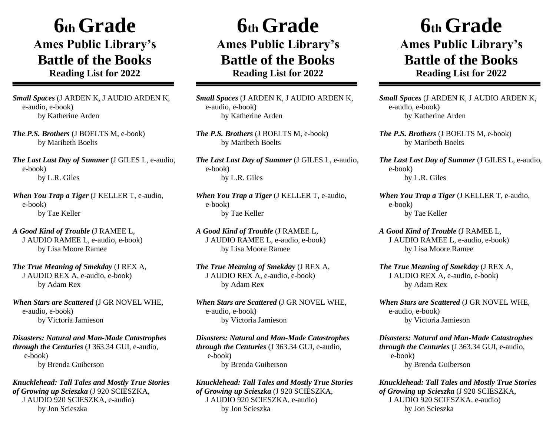## **6th Grade Ames Public Library's Battle of the Books Reading List for 2022**

*Small Spaces* (J ARDEN K, J AUDIO ARDEN K, e-audio, e-book) by Katherine Arden

*The P.S. Brothers* (J BOELTS M, e-book) by Maribeth Boelts

*The Last Last Day of Summer* (J GILES L, e-audio, e-book) by L.R. Giles

*When You Trap a Tiger* (J KELLER T, e-audio, e-book) by Tae Keller

*A Good Kind of Trouble* (J RAMEE L, J AUDIO RAMEE L, e-audio, e-book) by Lisa Moore Ramee

*The True Meaning of Smekday* (J REX A, J AUDIO REX A, e-audio, e-book) by Adam Rex

*When Stars are Scattered* (J GR NOVEL WHE, e-audio, e-book) by Victoria Jamieson

*Disasters: Natural and Man-Made Catastrophes through the Centuries* (J 363.34 GUI, e-audio, e-book) by Brenda Guiberson

*Knucklehead: Tall Tales and Mostly True Stories of Growing up Scieszka* (J 920 SCIESZKA, J AUDIO 920 SCIESZKA, e-audio) by Jon Scieszka

## **6th Grade**

**Ames Public Library's Battle of the Books Reading List for 2022**

*Small Spaces* (J ARDEN K, J AUDIO ARDEN K, e-audio, e-book) by Katherine Arden

*The P.S. Brothers* (J BOELTS M, e-book) by Maribeth Boelts

*The Last Last Day of Summer* (J GILES L, e-audio, e-book) by L.R. Giles

*When You Trap a Tiger* (J KELLER T, e-audio, e-book) by Tae Keller

*A Good Kind of Trouble* (J RAMEE L, J AUDIO RAMEE L, e-audio, e-book) by Lisa Moore Ramee

*The True Meaning of Smekday* (J REX A, J AUDIO REX A, e-audio, e-book) by Adam Rex

*When Stars are Scattered* (J GR NOVEL WHE, e-audio, e-book) by Victoria Jamieson

*Disasters: Natural and Man-Made Catastrophes through the Centuries* (J 363.34 GUI, e-audio, e-book) by Brenda Guiberson

*Knucklehead: Tall Tales and Mostly True Stories of Growing up Scieszka* (J 920 SCIESZKA, J AUDIO 920 SCIESZKA, e-audio) by Jon Scieszka

## **6th Grade Ames Public Library's Battle of the Books Reading List for 2022**

*Small Spaces* (J ARDEN K, J AUDIO ARDEN K, e-audio, e-book) by Katherine Arden

*The P.S. Brothers* (J BOELTS M, e-book) by Maribeth Boelts

*The Last Last Day of Summer* (J GILES L, e-audio, e-book) by L.R. Giles

*When You Trap a Tiger* (J KELLER T, e-audio, e-book) by Tae Keller

*A Good Kind of Trouble* (J RAMEE L, J AUDIO RAMEE L, e-audio, e-book) by Lisa Moore Ramee

*The True Meaning of Smekday* (J REX A, J AUDIO REX A, e-audio, e-book) by Adam Rex

*When Stars are Scattered* (J GR NOVEL WHE, e-audio, e-book) by Victoria Jamieson

*Disasters: Natural and Man-Made Catastrophes through the Centuries* (J 363.34 GUI, e-audio, e-book) by Brenda Guiberson

*Knucklehead: Tall Tales and Mostly True Stories of Growing up Scieszka* (J 920 SCIESZKA, J AUDIO 920 SCIESZKA, e-audio) by Jon Scieszka